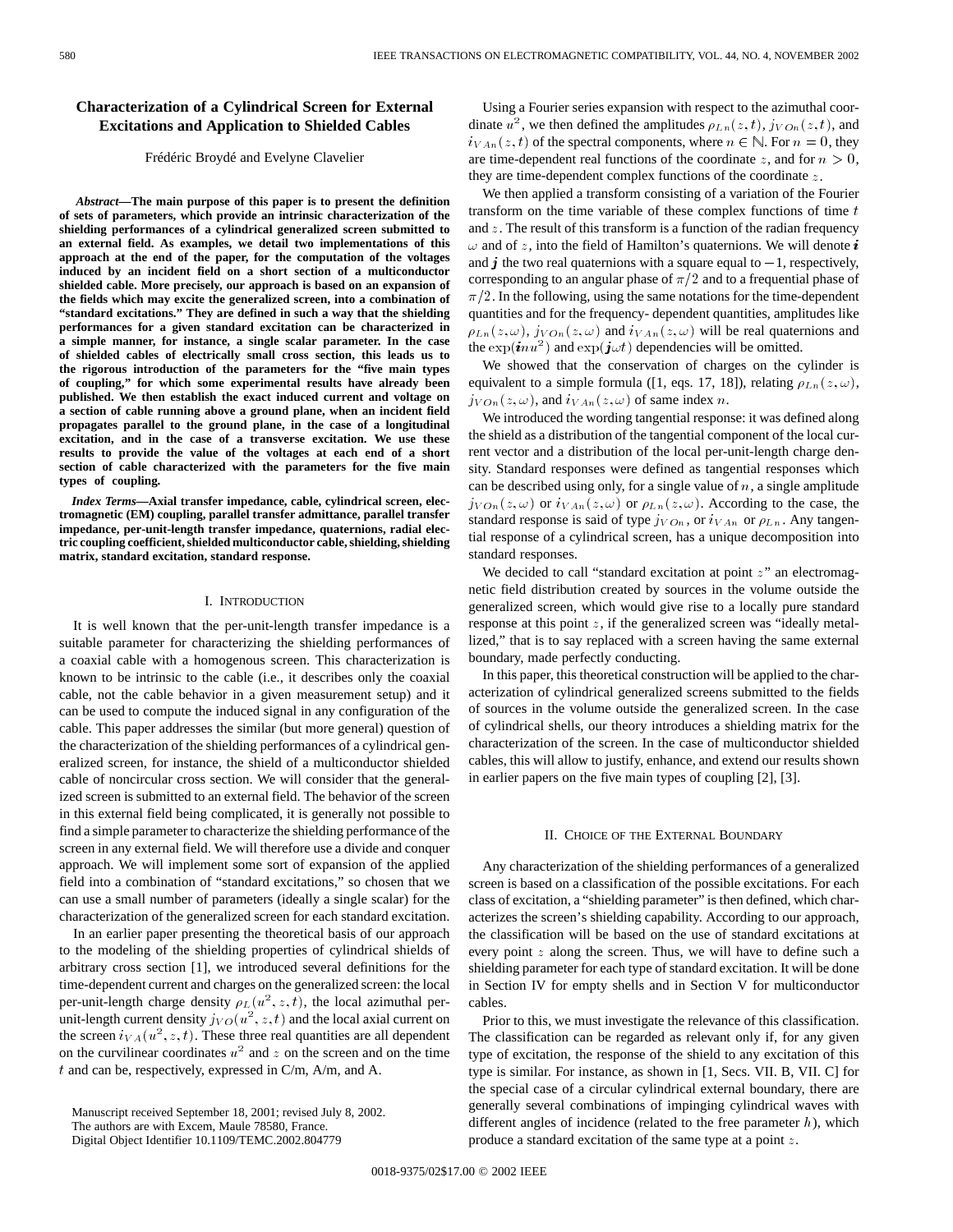# **Characterization of a Cylindrical Screen for External Excitations and Application to Shielded Cables**

#### Frédéric Broydé and Evelyne Clavelier

*Abstract—***The main purpose of this paper is to present the definition of sets of parameters, which provide an intrinsic characterization of the shielding performances of a cylindrical generalized screen submitted to an external field. As examples, we detail two implementations of this approach at the end of the paper, for the computation of the voltages induced by an incident field on a short section of a multiconductor shielded cable. More precisely, our approach is based on an expansion of the fields which may excite the generalized screen, into a combination of "standard excitations." They are defined in such a way that the shielding performances for a given standard excitation can be characterized in a simple manner, for instance, a single scalar parameter. In the case of shielded cables of electrically small cross section, this leads us to the rigorous introduction of the parameters for the "five main types of coupling," for which some experimental results have already been published. We then establish the exact induced current and voltage on a section of cable running above a ground plane, when an incident field propagates parallel to the ground plane, in the case of a longitudinal excitation, and in the case of a transverse excitation. We use these results to provide the value of the voltages at each end of a short section of cable characterized with the parameters for the five main types of coupling.**

*Index Terms—***Axial transfer impedance, cable, cylindrical screen, electromagnetic (EM) coupling, parallel transfer admittance, parallel transfer impedance, per-unit-length transfer impedance, quaternions, radial electric coupling coefficient, shielded multiconductor cable, shielding, shielding matrix, standard excitation, standard response.**

### I. INTRODUCTION

It is well known that the per-unit-length transfer impedance is a suitable parameter for characterizing the shielding performances of a coaxial cable with a homogenous screen. This characterization is known to be intrinsic to the cable (i.e., it describes only the coaxial cable, not the cable behavior in a given measurement setup) and it can be used to compute the induced signal in any configuration of the cable. This paper addresses the similar (but more general) question of the characterization of the shielding performances of a cylindrical generalized screen, for instance, the shield of a multiconductor shielded cable of noncircular cross section. We will consider that the generalized screen is submitted to an external field. The behavior of the screen in this external field being complicated, it is generally not possible to find a simple parameter to characterize the shielding performance of the screen in any external field. We will therefore use a divide and conquer approach. We will implement some sort of expansion of the applied field into a combination of "standard excitations," so chosen that we can use a small number of parameters (ideally a single scalar) for the characterization of the generalized screen for each standard excitation.

In an earlier paper presenting the theoretical basis of our approach to the modeling of the shielding properties of cylindrical shields of arbitrary cross section [1], we introduced several definitions for the time-dependent current and charges on the generalized screen: the local per-unit-length charge density  $\rho_L(u^2, z, t)$ , the local azimuthal perunit-length current density  $j_{VO}(u^2, z, t)$  and the local axial current on the screen  $i_{VA}(u^2, z, t)$ . These three real quantities are all dependent on the curvilinear coordinates  $u^2$  and z on the screen and on the time t and can be, respectively, expressed in C/m, A/m, and A.

Manuscript received September 18, 2001; revised July 8, 2002. The authors are with Excem, Maule 78580, France. Digital Object Identifier 10.1109/TEMC.2002.804779

Using a Fourier series expansion with respect to the azimuthal coordinate  $u^2$ , we then defined the amplitudes  $\rho_{Ln}(z, t)$ ,  $j_{VOn}(z, t)$ , and  $i_{VAn}(z, t)$  of the spectral components, where  $n \in \mathbb{N}$ . For  $n = 0$ , they are time-dependent real functions of the coordinate z, and for  $n > 0$ , they are time-dependent complex functions of the coordinate  $z$ .

We then applied a transform consisting of a variation of the Fourier transform on the time variable of these complex functions of time  $t$ and  $z$ . The result of this transform is a function of the radian frequency  $\omega$  and of z, into the field of Hamilton's quaternions. We will denote i and j the two real quaternions with a square equal to  $-1$ , respectively, corresponding to an angular phase of  $\pi/2$  and to a frequential phase of  $\pi/2$ . In the following, using the same notations for the time-dependent quantities and for the frequency- dependent quantities, amplitudes like  $\rho_{Ln}(z,\omega), j_{VOn}(z,\omega)$  and  $i_{VAn}(z,\omega)$  will be real quaternions and the  $\exp(i n u^2)$  and  $\exp(j \omega t)$  dependencies will be omitted.

We showed that the conservation of charges on the cylinder is equivalent to a simple formula ([1, eqs. 17, 18]), relating  $\rho_{Ln}(z,\omega)$ ,  $j_{VOn}(z, \omega)$ , and  $i_{VAn}(z, \omega)$  of same index n.

We introduced the wording tangential response: it was defined along the shield as a distribution of the tangential component of the local current vector and a distribution of the local per-unit-length charge density. Standard responses were defined as tangential responses which can be described using only, for a single value of  $n$ , a single amplitude  $j_{VOn}(z, \omega)$  or  $i_{VAn}(z, \omega)$  or  $\rho_{Ln}(z, \omega)$ . According to the case, the standard response is said of type  $j_{VOn}$ , or  $i_{VAn}$  or  $\rho_{Ln}$ . Any tangential response of a cylindrical screen, has a unique decomposition into standard responses.

We decided to call "standard excitation at point  $z$ " an electromagnetic field distribution created by sources in the volume outside the generalized screen, which would give rise to a locally pure standard response at this point  $z$ , if the generalized screen was "ideally metallized," that is to say replaced with a screen having the same external boundary, made perfectly conducting.

In this paper, this theoretical construction will be applied to the characterization of cylindrical generalized screens submitted to the fields of sources in the volume outside the generalized screen. In the case of cylindrical shells, our theory introduces a shielding matrix for the characterization of the screen. In the case of multiconductor shielded cables, this will allow to justify, enhance, and extend our results shown in earlier papers on the five main types of coupling [2], [3].

#### II. CHOICE OF THE EXTERNAL BOUNDARY

Any characterization of the shielding performances of a generalized screen is based on a classification of the possible excitations. For each class of excitation, a "shielding parameter" is then defined, which characterizes the screen's shielding capability. According to our approach, the classification will be based on the use of standard excitations at every point  $z$  along the screen. Thus, we will have to define such a shielding parameter for each type of standard excitation. It will be done in Section IV for empty shells and in Section V for multiconductor cables.

Prior to this, we must investigate the relevance of this classification. The classification can be regarded as relevant only if, for any given type of excitation, the response of the shield to any excitation of this type is similar. For instance, as shown in [1, Secs. VII. B, VII. C] for the special case of a circular cylindrical external boundary, there are generally several combinations of impinging cylindrical waves with different angles of incidence (related to the free parameter  $h$ ), which produce a standard excitation of the same type at a point z.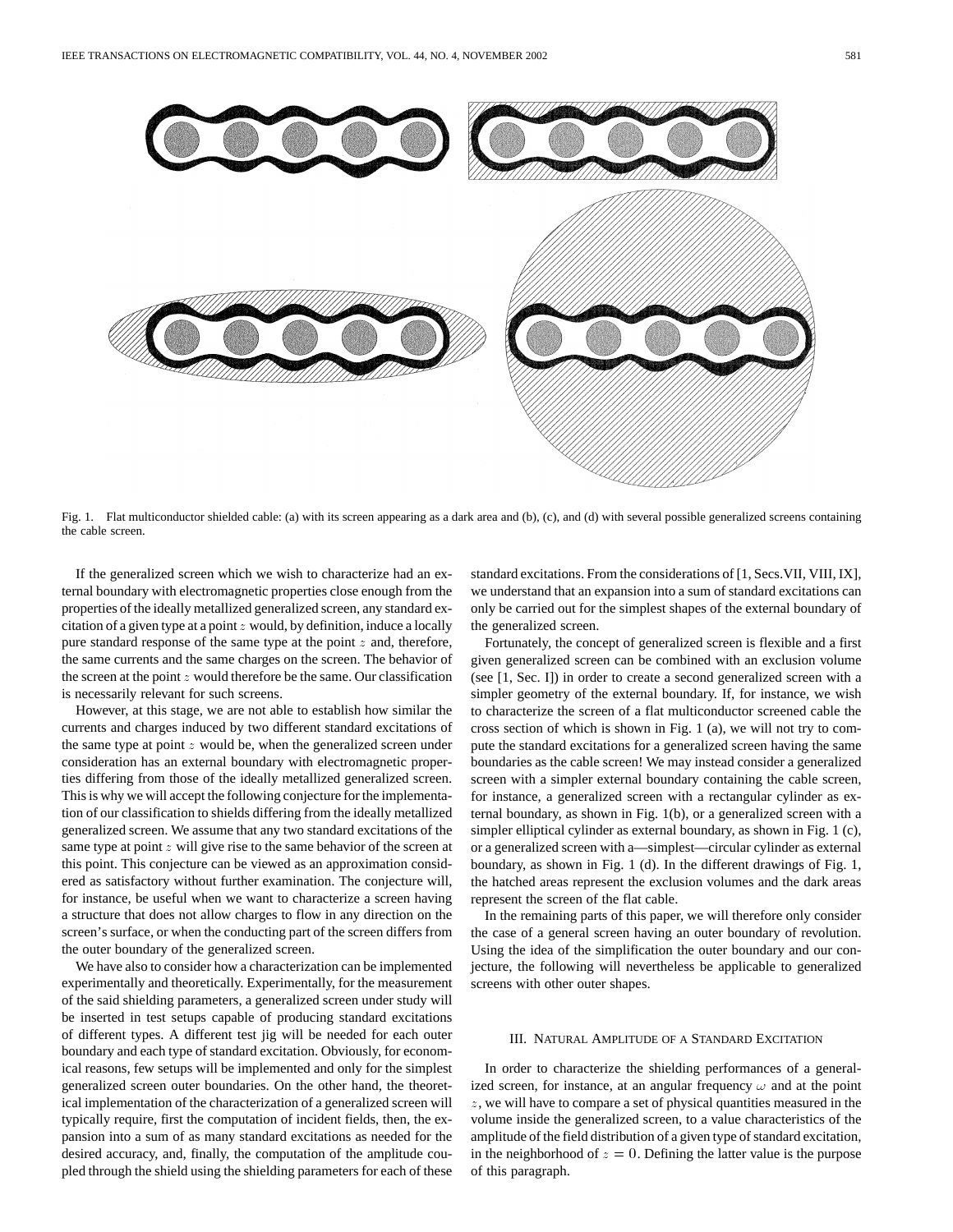

Fig. 1. Flat multiconductor shielded cable: (a) with its screen appearing as a dark area and (b), (c), and (d) with several possible generalized screens containing the cable screen.

If the generalized screen which we wish to characterize had an external boundary with electromagnetic properties close enough from the properties of the ideally metallized generalized screen, any standard excitation of a given type at a point  $z$  would, by definition, induce a locally pure standard response of the same type at the point z and, therefore, the same currents and the same charges on the screen. The behavior of the screen at the point  $z$  would therefore be the same. Our classification is necessarily relevant for such screens.

However, at this stage, we are not able to establish how similar the currents and charges induced by two different standard excitations of the same type at point  $z$  would be, when the generalized screen under consideration has an external boundary with electromagnetic properties differing from those of the ideally metallized generalized screen. This is why we will accept the following conjecture for the implementation of our classification to shields differing from the ideally metallized generalized screen. We assume that any two standard excitations of the same type at point z will give rise to the same behavior of the screen at this point. This conjecture can be viewed as an approximation considered as satisfactory without further examination. The conjecture will, for instance, be useful when we want to characterize a screen having a structure that does not allow charges to flow in any direction on the screen's surface, or when the conducting part of the screen differs from the outer boundary of the generalized screen.

We have also to consider how a characterization can be implemented experimentally and theoretically. Experimentally, for the measurement of the said shielding parameters, a generalized screen under study will be inserted in test setups capable of producing standard excitations of different types. A different test jig will be needed for each outer boundary and each type of standard excitation. Obviously, for economical reasons, few setups will be implemented and only for the simplest generalized screen outer boundaries. On the other hand, the theoretical implementation of the characterization of a generalized screen will typically require, first the computation of incident fields, then, the expansion into a sum of as many standard excitations as needed for the desired accuracy, and, finally, the computation of the amplitude coupled through the shield using the shielding parameters for each of these

standard excitations. From the considerations of [1, Secs.VII, VIII, IX], we understand that an expansion into a sum of standard excitations can only be carried out for the simplest shapes of the external boundary of the generalized screen.

Fortunately, the concept of generalized screen is flexible and a first given generalized screen can be combined with an exclusion volume (see [1, Sec. I]) in order to create a second generalized screen with a simpler geometry of the external boundary. If, for instance, we wish to characterize the screen of a flat multiconductor screened cable the cross section of which is shown in Fig. 1 (a), we will not try to compute the standard excitations for a generalized screen having the same boundaries as the cable screen! We may instead consider a generalized screen with a simpler external boundary containing the cable screen, for instance, a generalized screen with a rectangular cylinder as external boundary, as shown in Fig. 1(b), or a generalized screen with a simpler elliptical cylinder as external boundary, as shown in Fig. 1 (c), or a generalized screen with a—simplest—circular cylinder as external boundary, as shown in Fig. 1 (d). In the different drawings of Fig. 1, the hatched areas represent the exclusion volumes and the dark areas represent the screen of the flat cable.

In the remaining parts of this paper, we will therefore only consider the case of a general screen having an outer boundary of revolution. Using the idea of the simplification the outer boundary and our conjecture, the following will nevertheless be applicable to generalized screens with other outer shapes.

### III. NATURAL AMPLITUDE OF A STANDARD EXCITATION

In order to characterize the shielding performances of a generalized screen, for instance, at an angular frequency  $\omega$  and at the point  $z$ , we will have to compare a set of physical quantities measured in the volume inside the generalized screen, to a value characteristics of the amplitude of the field distribution of a given type of standard excitation, in the neighborhood of  $z = 0$ . Defining the latter value is the purpose of this paragraph.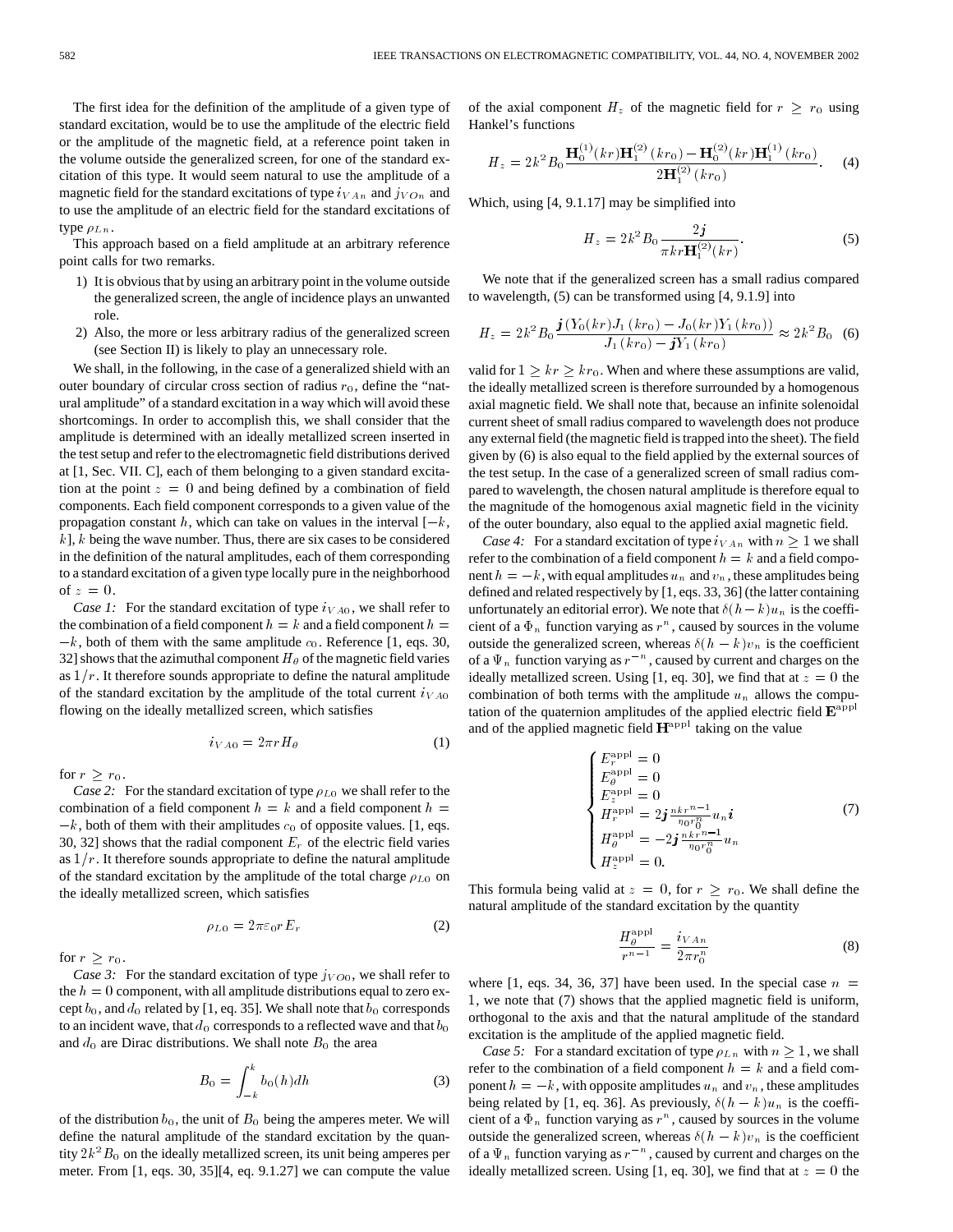The first idea for the definition of the amplitude of a given type of standard excitation, would be to use the amplitude of the electric field or the amplitude of the magnetic field, at a reference point taken in the volume outside the generalized screen, for one of the standard excitation of this type. It would seem natural to use the amplitude of a magnetic field for the standard excitations of type  $i_{VAn}$  and  $j_{VOn}$  and to use the amplitude of an electric field for the standard excitations of type  $\rho_{Ln}$ .

This approach based on a field amplitude at an arbitrary reference point calls for two remarks.

- 1) It is obvious that by using an arbitrary point in the volume outside the generalized screen, the angle of incidence plays an unwanted role.
- 2) Also, the more or less arbitrary radius of the generalized screen (see Section II) is likely to play an unnecessary role.

We shall, in the following, in the case of a generalized shield with an outer boundary of circular cross section of radius  $r_0$ , define the "natural amplitude" of a standard excitation in a way which will avoid these shortcomings. In order to accomplish this, we shall consider that the amplitude is determined with an ideally metallized screen inserted in the test setup and refer to the electromagnetic field distributions derived at [1, Sec. VII. C], each of them belonging to a given standard excitation at the point  $z = 0$  and being defined by a combination of field components. Each field component corresponds to a given value of the propagation constant h, which can take on values in the interval  $[-k,$  $k$ ],  $k$  being the wave number. Thus, there are six cases to be considered in the definition of the natural amplitudes, each of them corresponding to a standard excitation of a given type locally pure in the neighborhood of  $z = 0$ .

*Case 1:* For the standard excitation of type  $i_{VA0}$ , we shall refer to the combination of a field component  $h = k$  and a field component  $h =$  $-k$ , both of them with the same amplitude  $c_0$ . Reference [1, eqs. 30, 32] shows that the azimuthal component  $H_{\theta}$  of the magnetic field varies as  $1/r$ . It therefore sounds appropriate to define the natural amplitude of the standard excitation by the amplitude of the total current  $i_{VA0}$ flowing on the ideally metallized screen, which satisfies

$$
i_{VA0} = 2\pi r H_{\theta} \tag{1}
$$

for  $r \geq r_0$ .

*Case 2:* For the standard excitation of type  $\rho_{L0}$  we shall refer to the combination of a field component  $h = k$  and a field component  $h =$  $-k$ , both of them with their amplitudes  $c_0$  of opposite values. [1, eqs. 30, 32] shows that the radial component  $E_r$  of the electric field varies as  $1/r$ . It therefore sounds appropriate to define the natural amplitude of the standard excitation by the amplitude of the total charge  $\rho_{L0}$  on the ideally metallized screen, which satisfies

$$
\rho_{L0} = 2\pi\varepsilon_0 r E_r \tag{2}
$$

for  $r \geq r_0$ .

*Case 3:* For the standard excitation of type  $j_{V O 0}$ , we shall refer to the  $h = 0$  component, with all amplitude distributions equal to zero except  $b_0$ , and  $d_0$  related by [1, eq. 35]. We shall note that  $b_0$  corresponds to an incident wave, that  $d_0$  corresponds to a reflected wave and that  $b_0$ and  $d_0$  are Dirac distributions. We shall note  $B_0$  the area

$$
B_0 = \int_{-k}^{k} b_0(h) dh
$$
 (3)

of the distribution  $b_0$ , the unit of  $B_0$  being the amperes meter. We will define the natural amplitude of the standard excitation by the quantity  $2k^2B_0$  on the ideally metallized screen, its unit being amperes per meter. From [1, eqs. 30, 35][4, eq. 9.1.27] we can compute the value of the axial component  $H_z$  of the magnetic field for  $r \geq r_0$  using Hankel's functions

$$
H_z = 2k^2 B_0 \frac{\mathbf{H}_0^{(1)}(kr)\mathbf{H}_1^{(2)}(kr_0) - \mathbf{H}_0^{(2)}(kr)\mathbf{H}_1^{(1)}(kr_0)}{2\mathbf{H}_1^{(2)}(kr_0)}.
$$
 (4)

Which, using [4, 9.1.17] may be simplified into

$$
H_z = 2k^2 B_0 \frac{2\mathbf{j}}{\pi kr \mathbf{H}_1^{(2)}(kr)}.
$$
 (5)

We note that if the generalized screen has a small radius compared to wavelength, (5) can be transformed using [4, 9.1.9] into

$$
H_z = 2k^2 B_0 \frac{\mathbf{j} (Y_0(kr) J_1(kr_0) - J_0(kr) Y_1(kr_0))}{J_1(kr_0) - \mathbf{j} Y_1(kr_0)} \approx 2k^2 B_0 \tag{6}
$$

valid for  $1 \geq kr \geq kr_0$ . When and where these assumptions are valid, the ideally metallized screen is therefore surrounded by a homogenous axial magnetic field. We shall note that, because an infinite solenoidal current sheet of small radius compared to wavelength does not produce any external field (the magnetic field is trapped into the sheet). The field given by (6) is also equal to the field applied by the external sources of the test setup. In the case of a generalized screen of small radius compared to wavelength, the chosen natural amplitude is therefore equal to the magnitude of the homogenous axial magnetic field in the vicinity of the outer boundary, also equal to the applied axial magnetic field.

*Case 4:* For a standard excitation of type  $i_{VAn}$  with  $n \geq 1$  we shall refer to the combination of a field component  $h = k$  and a field component  $h = -k$ , with equal amplitudes  $u_n$  and  $v_n$ , these amplitudes being defined and related respectively by [1, eqs. 33, 36] (the latter containing unfortunately an editorial error). We note that  $\delta(h-k)u_n$  is the coefficient of a  $\Phi_n$  function varying as  $r^n$ , caused by sources in the volume outside the generalized screen, whereas  $\delta(h - k)v_n$  is the coefficient of a  $\Psi_n$  function varying as  $r^{-n}$ , caused by current and charges on the ideally metallized screen. Using [1, eq. 30], we find that at  $z = 0$  the combination of both terms with the amplitude  $u_n$  allows the computation of the quaternion amplitudes of the applied electric field  $\mathbf{E}^{\text{appl}}$ and of the applied magnetic field  $\mathbf{H}^{\text{app1}}$  taking on the value

$$
\begin{cases}\nE_r^{\text{app1}} = 0 \\
E_\theta^{\text{app1}} = 0 \\
E_z^{\text{app1}} = 0 \\
H_r^{\text{app1}} = 2j \frac{n_{kr}^{n-1}}{n_0 r_0^{n}} u_n \mathbf{i} \\
H_\theta^{\text{app1}} = -2j \frac{n_{kr}^{n-1}}{n_0 r_0^{n}} u_n \\
H_z^{\text{app1}} = 0.\n\end{cases} (7)
$$

This formula being valid at  $z = 0$ , for  $r \ge r_0$ . We shall define the natural amplitude of the standard excitation by the quantity

$$
\frac{H_{\theta}^{\text{app1}}}{r^{n-1}} = \frac{i_{VAn}}{2\pi r_0^n}
$$
(8)

where [1, eqs. 34, 36, 37] have been used. In the special case  $n =$ 1, we note that (7) shows that the applied magnetic field is uniform, orthogonal to the axis and that the natural amplitude of the standard excitation is the amplitude of the applied magnetic field.

*Case 5:* For a standard excitation of type  $\rho_{Ln}$  with  $n \geq 1$ , we shall refer to the combination of a field component  $h = k$  and a field component  $h = -k$ , with opposite amplitudes  $u_n$  and  $v_n$ , these amplitudes being related by [1, eq. 36]. As previously,  $\delta(h - k)u_n$  is the coefficient of a  $\Phi_n$  function varying as  $r^n$ , caused by sources in the volume outside the generalized screen, whereas  $\delta(h - k)v_n$  is the coefficient of a  $\Psi_n$  function varying as  $r^{-n}$ , caused by current and charges on the ideally metallized screen. Using [1, eq. 30], we find that at  $z = 0$  the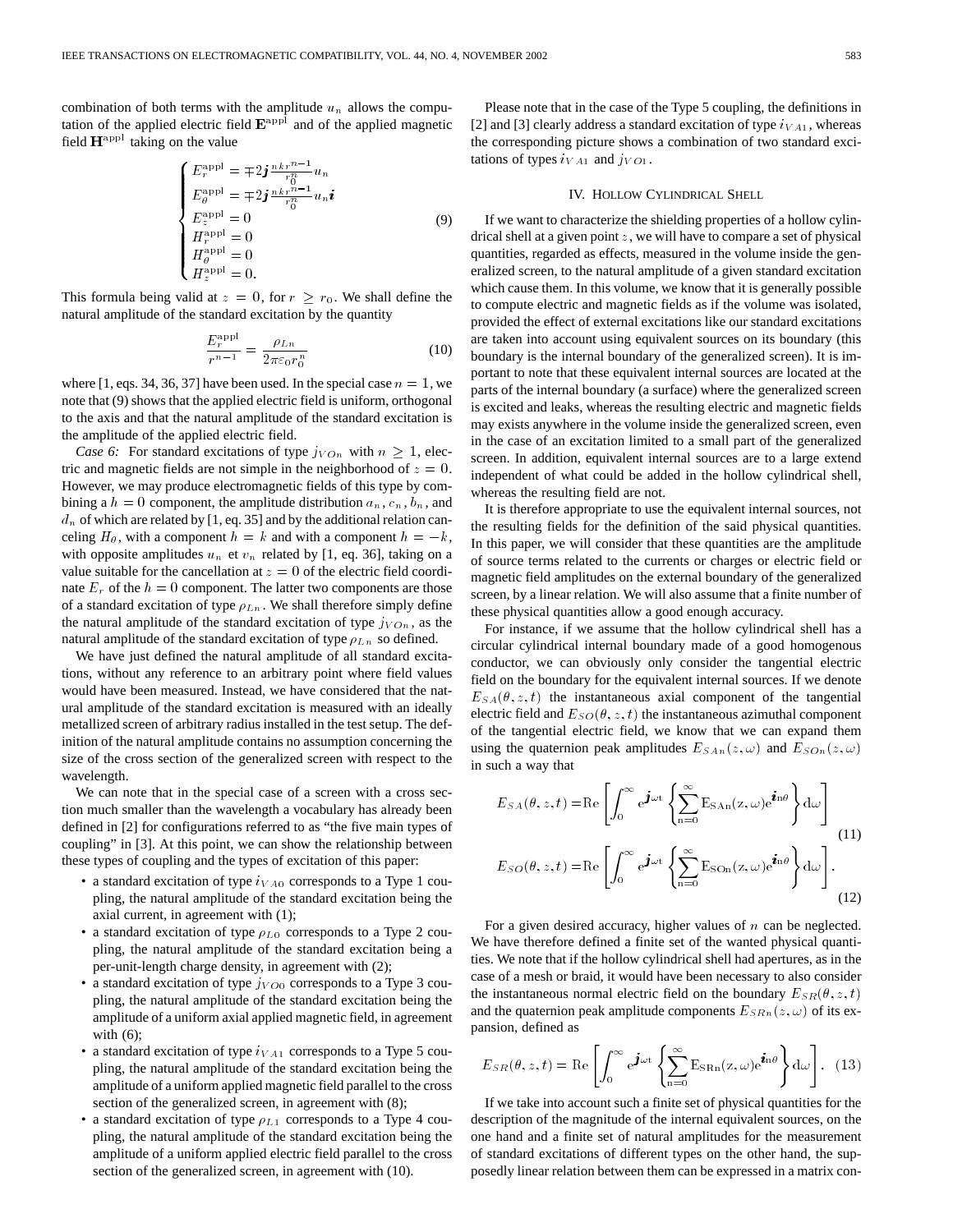combination of both terms with the amplitude  $u_n$  allows the computation of the applied electric field  $\mathbf{E}^{\text{app1}}$  and of the applied magnetic field  $\mathbf{H}^{\text{appl}}$  taking on the value

$$
\begin{cases}\nE_r^{\text{app1}} = \mp 2j \frac{n k r^{n-1}}{r_0^n} u_n \\
E_\theta^{\text{app1}} = \mp 2j \frac{n k r^{n-1}}{r_0^n} u_n \mathbf{i} \\
E_z^{\text{app1}} = 0 \\
H_r^{\text{app1}} = 0 \\
H_\theta^{\text{app1}} = 0 \\
H_z^{\text{app1}} = 0 \\
H_z^{\text{app1}} = 0.\n\end{cases} \tag{9}
$$

This formula being valid at  $z = 0$ , for  $r \ge r_0$ . We shall define the

natural amplitude of the standard excitation by the quantity  
\n
$$
\frac{E_r^{\text{appl}}}{r^{n-1}} = \frac{\rho_{Ln}}{2\pi\varepsilon_0 r_0^n}
$$
\n(10)

where [1, eqs. 34, 36, 37] have been used. In the special case  $n = 1$ , we note that (9) shows that the applied electric field is uniform, orthogonal to the axis and that the natural amplitude of the standard excitation is the amplitude of the applied electric field.

*Case 6:* For standard excitations of type  $j_{VOn}$  with  $n \geq 1$ , electric and magnetic fields are not simple in the neighborhood of  $z = 0$ . However, we may produce electromagnetic fields of this type by combining a  $h = 0$  component, the amplitude distribution  $a_n, c_n, b_n$ , and  $d_n$  of which are related by [1, eq. 35] and by the additional relation canceling  $H_{\theta}$ , with a component  $h = k$  and with a component  $h = -k$ , with opposite amplitudes  $u_n$  et  $v_n$  related by [1, eq. 36], taking on a value suitable for the cancellation at  $z = 0$  of the electric field coordinate  $E_r$  of the  $h = 0$  component. The latter two components are those of a standard excitation of type  $\rho_{Ln}$ . We shall therefore simply define the natural amplitude of the standard excitation of type  $j_{VOn}$ , as the natural amplitude of the standard excitation of type  $\rho_{Ln}$  so defined.

We have just defined the natural amplitude of all standard excitations, without any reference to an arbitrary point where field values would have been measured. Instead, we have considered that the natural amplitude of the standard excitation is measured with an ideally metallized screen of arbitrary radius installed in the test setup. The definition of the natural amplitude contains no assumption concerning the size of the cross section of the generalized screen with respect to the wavelength.

We can note that in the special case of a screen with a cross section much smaller than the wavelength a vocabulary has already been defined in [2] for configurations referred to as "the five main types of coupling" in [3]. At this point, we can show the relationship between these types of coupling and the types of excitation of this paper:

- a standard excitation of type  $i_{VA0}$  corresponds to a Type 1 coupling, the natural amplitude of the standard excitation being the axial current, in agreement with (1);
- a standard excitation of type  $\rho_{L0}$  corresponds to a Type 2 coupling, the natural amplitude of the standard excitation being a per-unit-length charge density, in agreement with (2);
- a standard excitation of type  $j_{V O0}$  corresponds to a Type 3 coupling, the natural amplitude of the standard excitation being the amplitude of a uniform axial applied magnetic field, in agreement with (6);
- a standard excitation of type  $i_{VA1}$  corresponds to a Type 5 coupling, the natural amplitude of the standard excitation being the amplitude of a uniform applied magnetic field parallel to the cross section of the generalized screen, in agreement with  $(8)$ ;
- a standard excitation of type  $\rho_{L1}$  corresponds to a Type 4 coupling, the natural amplitude of the standard excitation being the amplitude of a uniform applied electric field parallel to the cross section of the generalized screen, in agreement with (10).

Please note that in the case of the Type 5 coupling, the definitions in [2] and [3] clearly address a standard excitation of type  $i<sub>V A1</sub>$ , whereas the corresponding picture shows a combination of two standard excitations of types  $i_{VA1}$  and  $j_{VO1}$ .

### IV. HOLLOW CYLINDRICAL SHELL

If we want to characterize the shielding properties of a hollow cylindrical shell at a given point  $z$ , we will have to compare a set of physical quantities, regarded as effects, measured in the volume inside the generalized screen, to the natural amplitude of a given standard excitation which cause them. In this volume, we know that it is generally possible to compute electric and magnetic fields as if the volume was isolated, provided the effect of external excitations like our standard excitations are taken into account using equivalent sources on its boundary (this boundary is the internal boundary of the generalized screen). It is important to note that these equivalent internal sources are located at the parts of the internal boundary (a surface) where the generalized screen is excited and leaks, whereas the resulting electric and magnetic fields may exists anywhere in the volume inside the generalized screen, even in the case of an excitation limited to a small part of the generalized screen. In addition, equivalent internal sources are to a large extend independent of what could be added in the hollow cylindrical shell, whereas the resulting field are not.

It is therefore appropriate to use the equivalent internal sources, not the resulting fields for the definition of the said physical quantities. In this paper, we will consider that these quantities are the amplitude of source terms related to the currents or charges or electric field or magnetic field amplitudes on the external boundary of the generalized screen, by a linear relation. We will also assume that a finite number of these physical quantities allow a good enough accuracy.

For instance, if we assume that the hollow cylindrical shell has a circular cylindrical internal boundary made of a good homogenous conductor, we can obviously only consider the tangential electric field on the boundary for the equivalent internal sources. If we denote  $E_{SA}(\theta, z, t)$  the instantaneous axial component of the tangential electric field and  $E_{SO}(\theta, z, t)$  the instantaneous azimuthal component of the tangential electric field, we know that we can expand them using the quaternion peak amplitudes  $E_{SAn}(z,\omega)$  and  $E_{SOn}(z,\omega)$ in such a way that

$$
E_{SA}(\theta, z, t) = \text{Re}\left[\int_0^\infty e^{\mathbf{j}\omega t} \left\{\sum_{n=0}^\infty E_{SAn}(z, \omega) e^{\mathbf{i}n\theta}\right\} d\omega\right]
$$
  
\n
$$
E_{SO}(\theta, z, t) = \text{Re}\left[\int_0^\infty e^{\mathbf{j}\omega t} \left\{\sum_{n=0}^\infty E_{SOn}(z, \omega) e^{\mathbf{i}n\theta}\right\} d\omega\right].
$$
\n(12)

For a given desired accuracy, higher values of  $n$  can be neglected. We have therefore defined a finite set of the wanted physical quantities. We note that if the hollow cylindrical shell had apertures, as in the case of a mesh or braid, it would have been necessary to also consider the instantaneous normal electric field on the boundary  $E_{SR}(\theta, z, t)$ and the quaternion peak amplitude components  $E_{SRn}(z, \omega)$  of its expansion, defined as

$$
E_{SR}(\theta, z, t) = \text{Re}\left[\int_0^\infty e^{\mathbf{j}\omega t} \left\{\sum_{n=0}^\infty E_{\text{SRn}}(z, \omega) e^{\mathbf{i}n\theta}\right\} d\omega\right].
$$
 (13)

If we take into account such a finite set of physical quantities for the description of the magnitude of the internal equivalent sources, on the one hand and a finite set of natural amplitudes for the measurement of standard excitations of different types on the other hand, the supposedly linear relation between them can be expressed in a matrix con-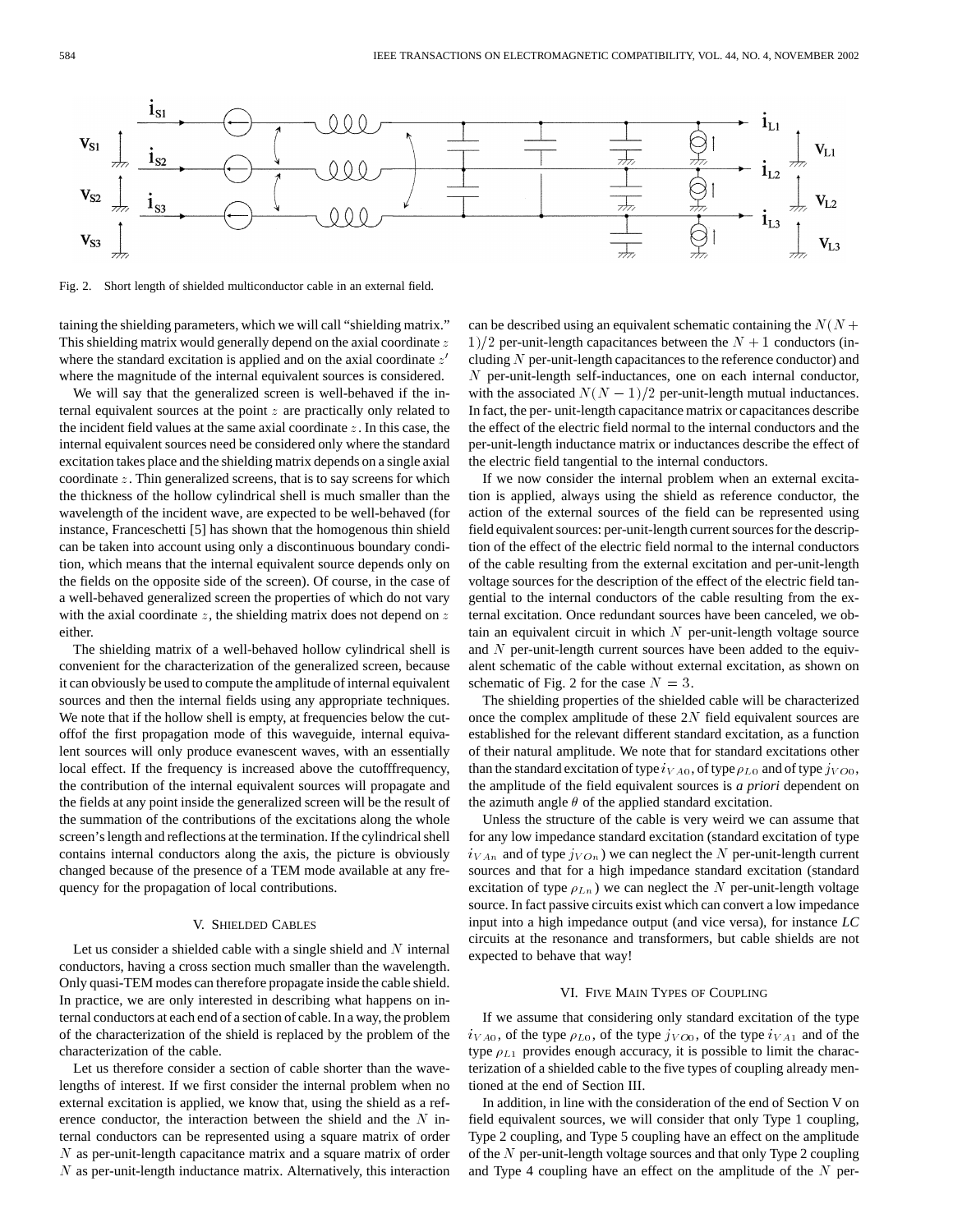

Fig. 2. Short length of shielded multiconductor cable in an external field.

taining the shielding parameters, which we will call "shielding matrix." This shielding matrix would generally depend on the axial coordinate  $z$ where the standard excitation is applied and on the axial coordinate  $z'$ where the magnitude of the internal equivalent sources is considered.

We will say that the generalized screen is well-behaved if the internal equivalent sources at the point z are practically only related to the incident field values at the same axial coordinate  $z$ . In this case, the internal equivalent sources need be considered only where the standard excitation takes place and the shielding matrix depends on a single axial coordinate  $z$ . Thin generalized screens, that is to say screens for which the thickness of the hollow cylindrical shell is much smaller than the wavelength of the incident wave, are expected to be well-behaved (for instance, Franceschetti [5] has shown that the homogenous thin shield can be taken into account using only a discontinuous boundary condition, which means that the internal equivalent source depends only on the fields on the opposite side of the screen). Of course, in the case of a well-behaved generalized screen the properties of which do not vary with the axial coordinate  $z$ , the shielding matrix does not depend on  $z$ either.

The shielding matrix of a well-behaved hollow cylindrical shell is convenient for the characterization of the generalized screen, because it can obviously be used to compute the amplitude of internal equivalent sources and then the internal fields using any appropriate techniques. We note that if the hollow shell is empty, at frequencies below the cutoffof the first propagation mode of this waveguide, internal equivalent sources will only produce evanescent waves, with an essentially local effect. If the frequency is increased above the cutofffrequency, the contribution of the internal equivalent sources will propagate and the fields at any point inside the generalized screen will be the result of the summation of the contributions of the excitations along the whole screen's length and reflections at the termination. If the cylindrical shell contains internal conductors along the axis, the picture is obviously changed because of the presence of a TEM mode available at any frequency for the propagation of local contributions.

# V. SHIELDED CABLES

Let us consider a shielded cable with a single shield and  $N$  internal conductors, having a cross section much smaller than the wavelength. Only quasi-TEM modes can therefore propagate inside the cable shield. In practice, we are only interested in describing what happens on internal conductors at each end of a section of cable. In a way, the problem of the characterization of the shield is replaced by the problem of the characterization of the cable.

Let us therefore consider a section of cable shorter than the wavelengths of interest. If we first consider the internal problem when no external excitation is applied, we know that, using the shield as a reference conductor, the interaction between the shield and the  $N$  internal conductors can be represented using a square matrix of order  $N$  as per-unit-length capacitance matrix and a square matrix of order  $N$  as per-unit-length inductance matrix. Alternatively, this interaction can be described using an equivalent schematic containing the  $N(N +$  $11/2$  per-unit-length capacitances between the  $N + 1$  conductors (in-<br>cluding N per-unit-length capacitances to the reference conductor) and<br>N per-unit-length self-inductances, one on each internal conductor,<br>with the as cluding  $N$  per-unit-length capacitances to the reference conductor) and  $N$  per-unit-length self-inductances, one on each internal conductor, In fact, the per- unit-length capacitance matrix or capacitances describe the effect of the electric field normal to the internal conductors and the per-unit-length inductance matrix or inductances describe the effect of the electric field tangential to the internal conductors.

If we now consider the internal problem when an external excitation is applied, always using the shield as reference conductor, the action of the external sources of the field can be represented using field equivalent sources: per-unit-length current sources for the description of the effect of the electric field normal to the internal conductors of the cable resulting from the external excitation and per-unit-length voltage sources for the description of the effect of the electric field tangential to the internal conductors of the cable resulting from the external excitation. Once redundant sources have been canceled, we obtain an equivalent circuit in which  $N$  per-unit-length voltage source and  $N$  per-unit-length current sources have been added to the equivalent schematic of the cable without external excitation, as shown on schematic of Fig. 2 for the case  $N = 3$ .

The shielding properties of the shielded cable will be characterized once the complex amplitude of these  $2N$  field equivalent sources are established for the relevant different standard excitation, as a function of their natural amplitude. We note that for standard excitations other than the standard excitation of type  $i_{VA0}$ , of type  $\rho_{L0}$  and of type  $j_{VO0}$ , the amplitude of the field equivalent sources is *a priori* dependent on the azimuth angle  $\theta$  of the applied standard excitation.

Unless the structure of the cable is very weird we can assume that for any low impedance standard excitation (standard excitation of type  $i_{VAn}$  and of type  $j_{VOn}$ ) we can neglect the N per-unit-length current sources and that for a high impedance standard excitation (standard excitation of type  $\rho_{Ln}$  ) we can neglect the  $N$  per-unit-length voltage source. In fact passive circuits exist which can convert a low impedance input into a high impedance output (and vice versa), for instance *LC* circuits at the resonance and transformers, but cable shields are not expected to behave that way!

## VI. FIVE MAIN TYPES OF COUPLING

If we assume that considering only standard excitation of the type  $i_{VA0}$ , of the type  $\rho_{L0}$ , of the type  $j_{VO0}$ , of the type  $i_{VA1}$  and of the type  $\rho_{L1}$  provides enough accuracy, it is possible to limit the characterization of a shielded cable to the five types of coupling already mentioned at the end of Section III.

In addition, in line with the consideration of the end of Section V on field equivalent sources, we will consider that only Type 1 coupling, Type 2 coupling, and Type 5 coupling have an effect on the amplitude of the N per-unit-length voltage sources and that only Type 2 coupling and Type 4 coupling have an effect on the amplitude of the  $N$  per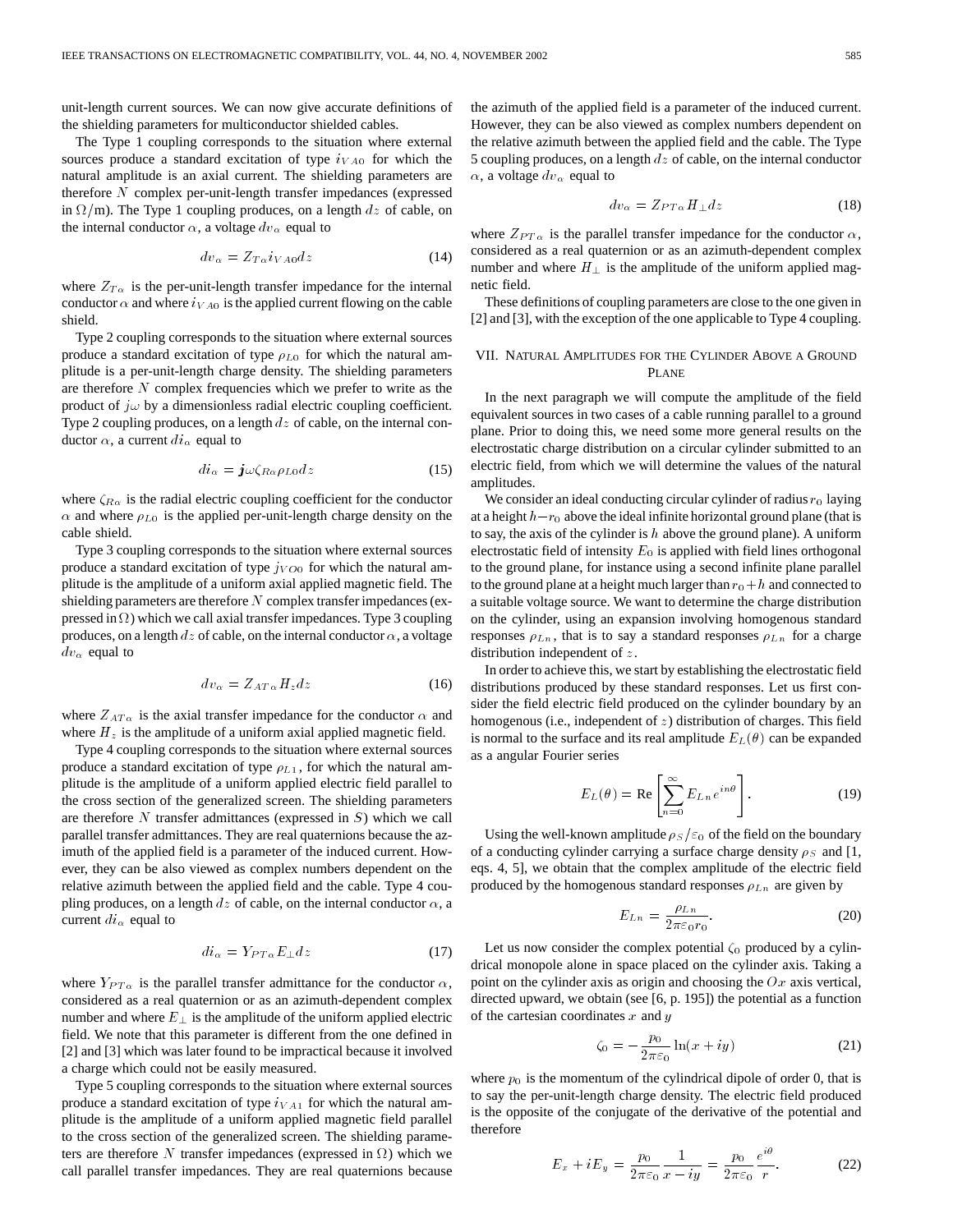unit-length current sources. We can now give accurate definitions of the shielding parameters for multiconductor shielded cables.

The Type 1 coupling corresponds to the situation where external sources produce a standard excitation of type  $i_{VA0}$  for which the natural amplitude is an axial current. The shielding parameters are therefore N complex per-unit-length transfer impedances (expressed in  $\Omega/m$ ). The Type 1 coupling produces, on a length dz of cable, on the internal conductor  $\alpha$ , a voltage  $dv_{\alpha}$  equal to

$$
dv_{\alpha} = Z_{T\alpha} i_{VA0} dz \tag{14}
$$

where  $Z_{T\alpha}$  is the per-unit-length transfer impedance for the internal conductor  $\alpha$  and where  $i_{VA0}$  is the applied current flowing on the cable shield.

Type 2 coupling corresponds to the situation where external sources produce a standard excitation of type  $\rho_{L0}$  for which the natural amplitude is a per-unit-length charge density. The shielding parameters are therefore  $N$  complex frequencies which we prefer to write as the product of  $j\omega$  by a dimensionless radial electric coupling coefficient. Type 2 coupling produces, on a length  $dz$  of cable, on the internal conductor  $\alpha$ , a current  $di_{\alpha}$  equal to

$$
di_{\alpha} = \mathbf{j}\,\omega\zeta_{R\alpha}\,\rho_{L0}dz\tag{15}
$$

where  $\zeta_{R\alpha}$  is the radial electric coupling coefficient for the conductor  $\alpha$  and where  $\rho_{L0}$  is the applied per-unit-length charge density on the cable shield.

Type 3 coupling corresponds to the situation where external sources produce a standard excitation of type  $j_{V O0}$  for which the natural amplitude is the amplitude of a uniform axial applied magnetic field. The shielding parameters are therefore  $N$  complex transfer impedances (expressed in  $\Omega$ ) which we call axial transfer impedances. Type 3 coupling produces, on a length dz of cable, on the internal conductor  $\alpha$ , a voltage  $dv_{\alpha}$  equal to

$$
dv_{\alpha} = Z_{AT\alpha} H_z dz \tag{16}
$$

where  $Z_{AT\alpha}$  is the axial transfer impedance for the conductor  $\alpha$  and where  $H_z$  is the amplitude of a uniform axial applied magnetic field.

Type 4 coupling corresponds to the situation where external sources produce a standard excitation of type  $\rho_{L1}$ , for which the natural amplitude is the amplitude of a uniform applied electric field parallel to the cross section of the generalized screen. The shielding parameters are therefore  $N$  transfer admittances (expressed in  $S$ ) which we call parallel transfer admittances. They are real quaternions because the azimuth of the applied field is a parameter of the induced current. However, they can be also viewed as complex numbers dependent on the relative azimuth between the applied field and the cable. Type 4 coupling produces, on a length dz of cable, on the internal conductor  $\alpha$ , a current  $di_{\alpha}$  equal to

$$
di_{\alpha} = Y_{PT\alpha} E_{\perp} dz \tag{17}
$$

where  $Y_{PT\alpha}$  is the parallel transfer admittance for the conductor  $\alpha$ , considered as a real quaternion or as an azimuth-dependent complex number and where  $E_{\perp}$  is the amplitude of the uniform applied electric field. We note that this parameter is different from the one defined in [2] and [3] which was later found to be impractical because it involved a charge which could not be easily measured.

Type 5 coupling corresponds to the situation where external sources produce a standard excitation of type  $i_{VA1}$  for which the natural amplitude is the amplitude of a uniform applied magnetic field parallel to the cross section of the generalized screen. The shielding parameters are therefore N transfer impedances (expressed in  $\Omega$ ) which we call parallel transfer impedances. They are real quaternions because the azimuth of the applied field is a parameter of the induced current. However, they can be also viewed as complex numbers dependent on the relative azimuth between the applied field and the cable. The Type 5 coupling produces, on a length  $dz$  of cable, on the internal conductor  $\alpha$ , a voltage  $dv_{\alpha}$  equal to

$$
dv_{\alpha} = Z_{PT\alpha} H_{\perp} dz \tag{18}
$$

where  $Z_{PT\alpha}$  is the parallel transfer impedance for the conductor  $\alpha$ , considered as a real quaternion or as an azimuth-dependent complex number and where  $H_{\perp}$  is the amplitude of the uniform applied magnetic field.

These definitions of coupling parameters are close to the one given in [2] and [3], with the exception of the one applicable to Type 4 coupling.

## VII. NATURAL AMPLITUDES FOR THE CYLINDER ABOVE A GROUND PLANE

In the next paragraph we will compute the amplitude of the field equivalent sources in two cases of a cable running parallel to a ground plane. Prior to doing this, we need some more general results on the electrostatic charge distribution on a circular cylinder submitted to an electric field, from which we will determine the values of the natural amplitudes.<br>We consider an ideal conducting circular cylinder of radius  $r_0$  laying at a height  $h - r_0$  above the ideal infinite horizontal ground pl amplitudes.

We consider an ideal conducting circular cylinder of radius  $r_0$  laying to say, the axis of the cylinder is  $h$  above the ground plane). A uniform electrostatic field of intensity  $E_0$  is applied with field lines orthogonal to the ground plane, for instance using a second infinite plane parallel to the ground plane at a height much larger than  $r_0+h$  and connected to a suitable voltage source. We want to determine the charge distribution on the cylinder, using an expansion involving homogenous standard responses  $\rho_{Ln}$ , that is to say a standard responses  $\rho_{Ln}$  for a charge distribution independent of z.

In order to achieve this, we start by establishing the electrostatic field distributions produced by these standard responses. Let us first consider the field electric field produced on the cylinder boundary by an homogenous (i.e., independent of  $z$ ) distribution of charges. This field is normal to the surface and its real amplitude  $E_L(\theta)$  can be expanded as a angular Fourier series

$$
E_L(\theta) = \text{Re}\left[\sum_{n=0}^{\infty} E_{Ln} e^{in\theta}\right].
$$
 (19)

Using the well-known amplitude  $\rho_S/\varepsilon_0$  of the field on the boundary of a conducting cylinder carrying a surface charge density  $\rho_S$  and [1, eqs. 4, 5], we obtain that the complex amplitude of the electric field produced by the homogenous standard responses  $\rho_{Ln}$  are given by

$$
E_{Ln} = \frac{\rho_{Ln}}{2\pi\varepsilon_0 r_0}.
$$
 (20)

Let us now consider the complex potential  $\zeta_0$  produced by a cylindrical monopole alone in space placed on the cylinder axis. Taking a point on the cylinder axis as origin and choosing the  $Ox$  axis vertical, point on the cylinder axis as origin and choosing the Ox axis vertical,<br>directed upward, we obtain (see [6, p. 195]) the potential as a function<br>of the cartesian coordinates x and y<br> $\zeta_0 = -\frac{p_0}{2} \ln(x + iy)$  (21) of the cartesian coordinates  $x$  and  $y$ 

$$
\zeta_0 = -\frac{p_0}{2\pi\varepsilon_0} \ln(x + iy) \tag{21}
$$

where  $p_0$  is the momentum of the cylindrical dipole of order 0, that is to say the per-unit-length charge density. The electric field produced is the opposite of the conjugate of the derivative of the potential and<br>therefore<br> $E_x + iE_y = \frac{p_0}{2\pi\varepsilon_0} \frac{1}{x - iy} = \frac{p_0}{2\pi\varepsilon_0} \frac{e^{i\theta}}{r}$ . (22) therefore

$$
E_x + iE_y = \frac{p_0}{2\pi\varepsilon_0} \frac{1}{x - iy} = \frac{p_0}{2\pi\varepsilon_0} \frac{e^{i\theta}}{r}.
$$
 (22)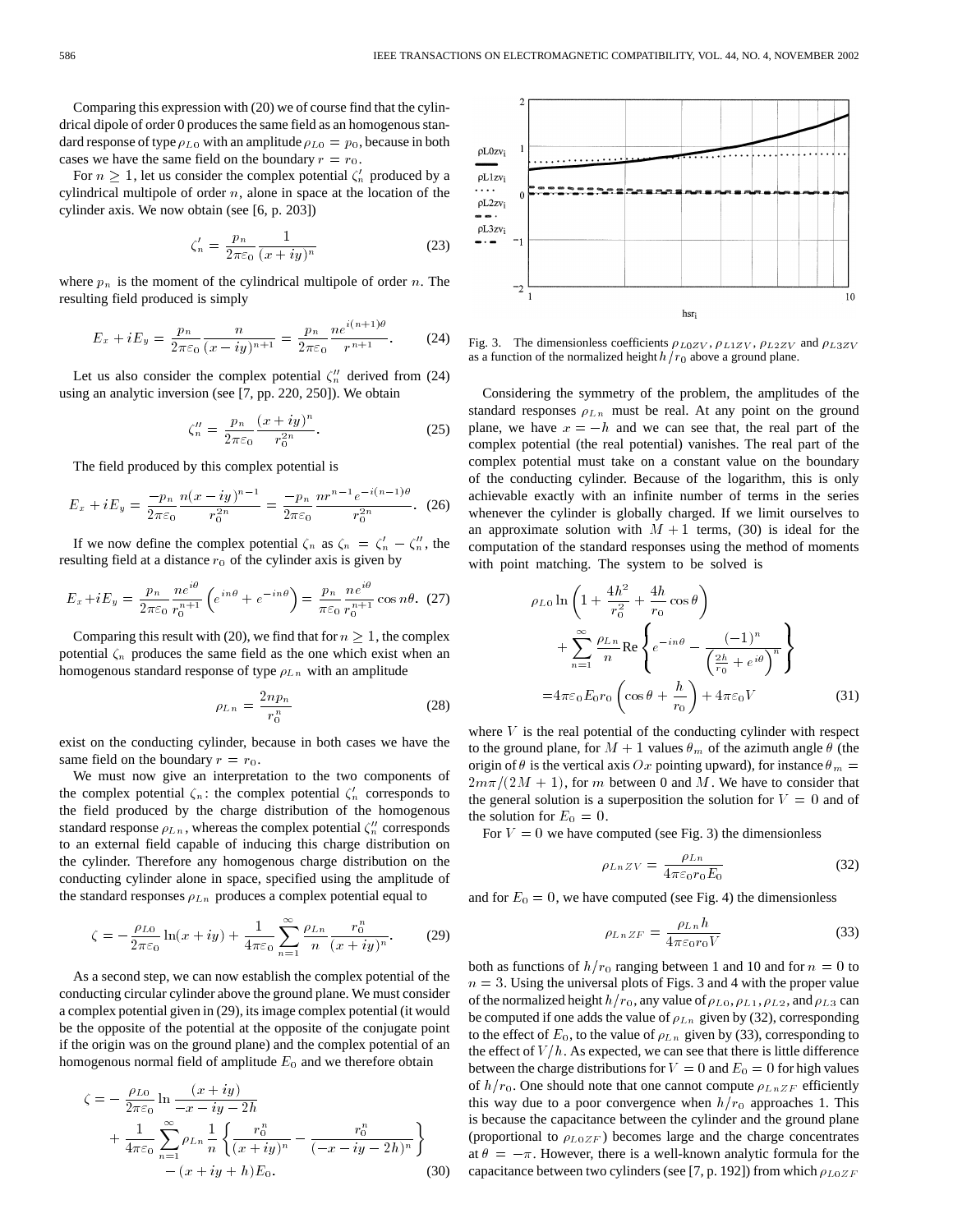Comparing this expression with (20) we of course find that the cylindrical dipole of order 0 produces the same field as an homogenous standard response of type  $\rho_{L0}$  with an amplitude  $\rho_{L0} = p_0$ , because in both cases we have the same field on the boundary  $r = r_0$ .

For  $n \geq 1$ , let us consider the complex potential  $\zeta_n^{\prime}$  produced by a cylindrical multipole of order  $n$ , alone in space at the location of the cylinder axis. We now obtain (see [6, p. 203])

$$
\zeta_n' = \frac{p_n}{2\pi\varepsilon_0} \frac{1}{(x+iy)^n} \tag{23}
$$

where  $p_n$  is the moment of the cylindrical multipole of order n. The resulting field produced is simply

$$
E_x + iE_y = \frac{p_n}{2\pi\varepsilon_0} \frac{n}{(x - iy)^{n+1}} = \frac{p_n}{2\pi\varepsilon_0} \frac{ne^{i(n+1)\theta}}{r^{n+1}}.
$$
 (24)

Let us also consider the complex potential  $\zeta_n''$  derived from (24) using an analytic inversion (see [7, pp. 220, 250]). We obtain

$$
\zeta_n'' = \frac{p_n}{2\pi\varepsilon_0} \frac{(x+iy)^n}{r_0^{2n}}.
$$
 (25)

The field produced by this complex potential is

$$
E_x + iE_y = \frac{-p_n}{2\pi\varepsilon_0} \frac{n(x - iy)^{n-1}}{r_0^{2n}} = \frac{-p_n}{2\pi\varepsilon_0} \frac{nr^{n-1}e^{-i(n-1)\theta}}{r_0^{2n}}.
$$
 (26)

If we now define the complex potential  $\zeta_n$  as  $\zeta_n = \zeta_n' - \zeta_n''$ , the resulting field at a distance  $r_0$  of the cylinder axis is given by

$$
E_x + iE_y = \frac{p_n}{2\pi\varepsilon_0} \frac{ne^{i\theta}}{r_0^{n+1}} \left( e^{in\theta} + e^{-in\theta} \right) = \frac{p_n}{\pi\varepsilon_0} \frac{ne^{i\theta}}{r_0^{n+1}} \cos n\theta. \tag{27}
$$

Comparing this result with (20), we find that for  $n \geq 1$ , the complex potential  $\zeta_n$  produces the same field as the one which exist when an homogenous standard response of type  $\rho_{Ln}$  with an amplitude

$$
\rho_{Ln} = \frac{2np_n}{r_0^n} \tag{28}
$$

exist on the conducting cylinder, because in both cases we have the same field on the boundary  $r = r_0$ .

We must now give an interpretation to the two components of the complex potential  $\zeta_n$ : the complex potential  $\zeta'_n$  corresponds to the field produced by the charge distribution of the homogenous standard response  $\rho_{Ln}$ , whereas the complex potential  $\zeta_n''$  corresponds to an external field capable of inducing this charge distribution on the cylinder. Therefore any homogenous charge distribution on the conducting cylinder alone in space, specified using the amplitude of the standard responses  $\rho_{Ln}$  produces a complex potential equal to

$$
\zeta = -\frac{\rho_{L0}}{2\pi\varepsilon_0} \ln(x + iy) + \frac{1}{4\pi\varepsilon_0} \sum_{n=1}^{\infty} \frac{\rho_{Ln}}{n} \frac{r_0^n}{(x + iy)^n}.
$$
 (29)

As a second step, we can now establish the complex potential of the conducting circular cylinder above the ground plane. We must consider a complex potential given in (29), its image complex potential (it would be the opposite of the potential at the opposite of the conjugate point if the origin was on the ground plane) and the complex potential of an homogenous normal field of amplitude  $E_0$  and we therefore obtain

$$
\zeta = -\frac{\rho_{L0}}{2\pi\varepsilon_0} \ln \frac{(x+iy)}{-x-iy-2h} + \frac{1}{4\pi\varepsilon_0} \sum_{n=1}^{\infty} \rho_{Ln} \frac{1}{n} \left\{ \frac{r_0^n}{(x+iy)^n} - \frac{r_0^n}{(-x-iy-2h)^n} \right\} - (x+iy+h)E_0.
$$
 (30)



Fig. 3. The dimensionless coefficients  $\rho_{L0ZV}$ ,  $\rho_{L1ZV}$ ,  $\rho_{L2ZV}$  and  $\rho_{L3ZV}$ as a function of the normalized height  $h/r_0$  above a ground plane.

Considering the symmetry of the problem, the amplitudes of the standard responses  $\rho_{Ln}$  must be real. At any point on the ground plane, we have  $x = -h$  and we can see that, the real part of the complex potential (the real potential) vanishes. The real part of the complex potential must take on a constant value on the boundary of the conducting cylinder. Because of the logarithm, this is only achievable exactly with an infinite number of terms in the series whenever the cylinder is globally charged. If we limit ourselves to an approximate solution with  $M + 1$  terms, (30) is ideal for the computation of the standard responses using the method of moments with point matching. The system to be solved is

$$
\rho_{L0} \ln \left( 1 + \frac{4h^2}{r_0^2} + \frac{4h}{r_0} \cos \theta \right)
$$
  
+ 
$$
\sum_{n=1}^{\infty} \frac{\rho_{Ln}}{n} \text{Re} \left\{ e^{-in\theta} - \frac{(-1)^n}{\left(\frac{2h}{r_0} + e^{i\theta}\right)^n} \right\}
$$
  
= 
$$
4\pi \varepsilon_0 E_0 r_0 \left( \cos \theta + \frac{h}{r_0} \right) + 4\pi \varepsilon_0 V
$$
(31)

where  $V$  is the real potential of the conducting cylinder with respect to the ground plane, for  $M + 1$  values  $\theta_m$  of the azimuth angle  $\theta$  (the origin of  $\theta$  is the vertical axis Ox pointing upward), for instance  $\theta_m =$  $2m\pi/(2M + 1)$ , for m between 0 and M. We have to consider that the general solution is a superposition the solution for  $V = 0$  and of the solution for  $E_0 = 0$ .

For  $V = 0$  we have computed (see Fig. 3) the dimensionless

$$
\rho_{Ln\,ZV} = \frac{\rho_{Ln}}{4\pi\varepsilon_0 r_0 E_0} \tag{32}
$$

and for  $E_0 = 0$ , we have computed (see Fig. 4) the dimensionless

$$
\rho_{LnZF} = \frac{\rho_{Ln}h}{4\pi\varepsilon_0r_0V} \tag{33}
$$

both as functions of  $h/r_0$  ranging between 1 and 10 and for  $n = 0$  to  $n = 3$ . Using the universal plots of Figs. 3 and 4 with the proper value of the normalized height  $h/r_0$ , any value of  $\rho_{L0}$ ,  $\rho_{L1}$ ,  $\rho_{L2}$ , and  $\rho_{L3}$  can be computed if one adds the value of  $\rho_{Ln}$  given by (32), corresponding to the effect of  $E_0$ , to the value of  $\rho_{Ln}$  given by (33), corresponding to the effect of  $V/h$ . As expected, we can see that there is little difference between the charge distributions for  $V = 0$  and  $E_0 = 0$  for high values of  $h/r_0$ . One should note that one cannot compute  $\rho_{LnZF}$  efficiently this way due to a poor convergence when  $h/r_0$  approaches 1. This is because the capacitance between the cylinder and the ground plane (proportional to  $\rho_{L0ZF}$ ) becomes large and the charge concentrates at  $\theta = -\pi$ . However, there is a well-known analytic formula for the capacitance between two cylinders (see [7, p. 192]) from which  $\rho_{L0ZF}$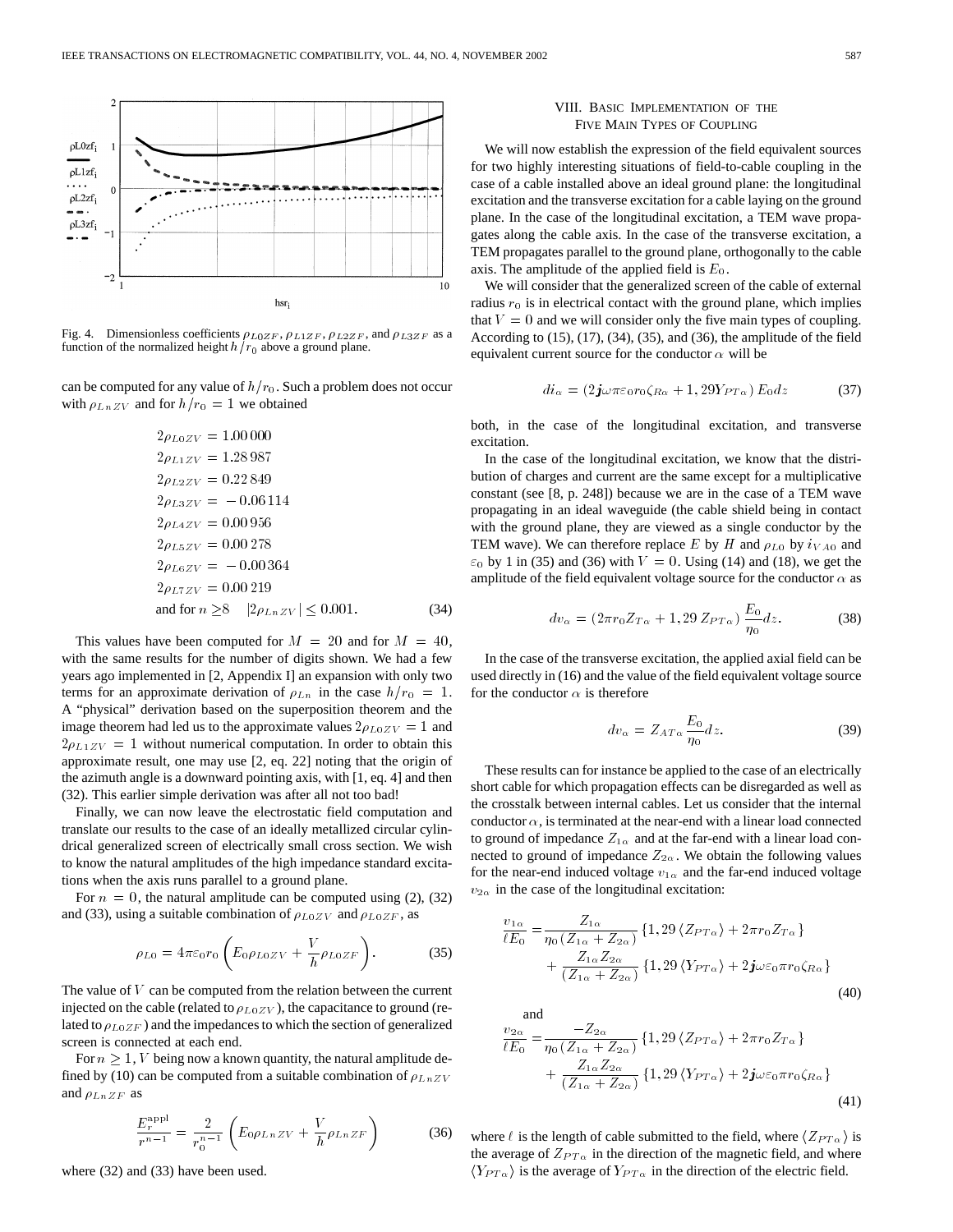

Fig. 4. Dimensionless coefficients  $\rho_{L0ZF}$ ,  $\rho_{L1ZF}$ ,  $\rho_{L2ZF}$ , and  $\rho_{L3ZF}$  as a function of the normalized height  $h/r_0$  above a ground plane.

can be computed for any value of  $h/r_0$ . Such a problem does not occur with  $\rho_{LnZV}$  and for  $h/r_0 = 1$  we obtained

$$
2\rho_{L0ZV} = 1.00\,000
$$
  
\n
$$
2\rho_{L1ZV} = 1.28\,987
$$
  
\n
$$
2\rho_{L2ZV} = 0.22\,849
$$
  
\n
$$
2\rho_{L3ZV} = -0.06\,114
$$
  
\n
$$
2\rho_{L4ZV} = 0.00\,956
$$
  
\n
$$
2\rho_{L5ZV} = 0.00\,278
$$
  
\n
$$
2\rho_{L6ZV} = -0.00\,364
$$
  
\n
$$
2\rho_{L7ZV} = 0.00\,219
$$
  
\nand for  $n \ge 8$   $|2\rho_{LnZV}| \le 0.001$ . (34)

This values have been computed for  $M = 20$  and for  $M = 40$ , with the same results for the number of digits shown. We had a few years ago implemented in [2, Appendix I] an expansion with only two terms for an approximate derivation of  $\rho_{Ln}$  in the case  $h/r_0 = 1$ . A "physical" derivation based on the superposition theorem and the image theorem had led us to the approximate values  $2\rho_{L0ZV} = 1$  and  $2\rho_{L1ZV} = 1$  without numerical computation. In order to obtain this approximate result, one may use [2, eq. 22] noting that the origin of the azimuth angle is a downward pointing axis, with [1, eq. 4] and then (32). This earlier simple derivation was after all not too bad!

Finally, we can now leave the electrostatic field computation and translate our results to the case of an ideally metallized circular cylindrical generalized screen of electrically small cross section. We wish to know the natural amplitudes of the high impedance standard excitations when the axis runs parallel to a ground plane.

For  $n = 0$ , the natural amplitude can be computed using (2), (32) and (33), using a suitable combination of  $\rho_{L0ZV}$  and  $\rho_{L0ZF}$ , as

$$
\rho_{L0} = 4\pi\varepsilon_0 r_0 \left( E_0 \rho_{L0ZV} + \frac{V}{h} \rho_{L0ZF} \right). \tag{35}
$$

The value of  $V$  can be computed from the relation between the current injected on the cable (related to  $\rho_{L0ZV}$ ), the capacitance to ground (related to  $\rho_{L0ZF}$ ) and the impedances to which the section of generalized screen is connected at each end.

For  $n \geq 1$ , V being now a known quantity, the natural amplitude defined by (10) can be computed from a suitable combination of  $\rho_{LnZV}$ and  $\rho_{LnZF}$  as

as  
\n
$$
\frac{E_r^{\text{app1}}}{r^{n-1}} = \frac{2}{r_0^{n-1}} \left( E_0 \rho_{LnZV} + \frac{V}{h} \rho_{LnZF} \right)
$$
\n(36)

where (32) and (33) have been used.

## VIII. BASIC IMPLEMENTATION OF THE FIVE MAIN TYPES OF COUPLING

We will now establish the expression of the field equivalent sources for two highly interesting situations of field-to-cable coupling in the case of a cable installed above an ideal ground plane: the longitudinal excitation and the transverse excitation for a cable laying on the ground plane. In the case of the longitudinal excitation, a TEM wave propagates along the cable axis. In the case of the transverse excitation, a TEM propagates parallel to the ground plane, orthogonally to the cable axis. The amplitude of the applied field is  $E_0$ .

We will consider that the generalized screen of the cable of external radius  $r_0$  is in electrical contact with the ground plane, which implies that  $V = 0$  and we will consider only the five main types of coupling. According to (15), (17), (34), (35), and (36), the amplitude of the field equivalent current source for the conductor  $\alpha$  will be

$$
di_{\alpha} = (2j\omega\pi\varepsilon_0r_0\zeta_{R\alpha} + 1,29Y_{PT\alpha})E_0dz
$$
 (37)

both, in the case of the longitudinal excitation, and transverse excitation.

In the case of the longitudinal excitation, we know that the distribution of charges and current are the same except for a multiplicative constant (see [8, p. 248]) because we are in the case of a TEM wave propagating in an ideal waveguide (the cable shield being in contact with the ground plane, they are viewed as a single conductor by the TEM wave). We can therefore replace E by H and  $\rho_{L0}$  by  $i_{VA0}$  and  $\varepsilon_0$  by 1 in (35) and (36) with  $V = 0$ . Using (14) and (18), we get the amplitude of the field equivalent voltage source for the conductor  $\alpha$  as

$$
dv_{\alpha} = (2\pi r_0 Z_{T\alpha} + 1, 29 Z_{PT\alpha}) \frac{E_0}{\eta_0} dz.
$$
 (38)

In the case of the transverse excitation, the applied axial field can be used directly in (16) and the value of the field equivalent voltage source for the conductor  $\alpha$  is therefore

$$
dv_{\alpha} = Z_{AT\alpha} \frac{E_0}{\eta_0} dz.
$$
 (39)

These results can for instance be applied to the case of an electrically short cable for which propagation effects can be disregarded as well as the crosstalk between internal cables. Let us consider that the internal conductor  $\alpha$ , is terminated at the near-end with a linear load connected to ground of impedance  $Z_{1\alpha}$  and at the far-end with a linear load connected to ground of impedance  $Z_{2\alpha}$ . We obtain the following values for the near-end induced voltage  $v_{1\alpha}$  and the far-end induced voltage  $v_{2\alpha}$  in the case of the longitudinal excitation:

$$
\frac{v_{1\alpha}}{\ell E_0} = \frac{Z_{1\alpha}}{\eta_0 \left( Z_{1\alpha} + Z_{2\alpha} \right)} \left\{ 1, 29 \left\langle Z_{PT\alpha} \right\rangle + 2\pi r_0 Z_{T\alpha} \right\} \n+ \frac{Z_{1\alpha} Z_{2\alpha}}{\left( Z_{1\alpha} + Z_{2\alpha} \right)} \left\{ 1, 29 \left\langle Y_{PT\alpha} \right\rangle + 2j\omega \varepsilon_0 \pi r_0 \zeta_{R\alpha} \right\}
$$
\n(40)

and

$$
\frac{v_{2\alpha}}{\ell E_0} = \frac{-Z_{2\alpha}}{\eta_0 (Z_{1\alpha} + Z_{2\alpha})} \left\{ 1, 29 \langle Z_{PT\alpha} \rangle + 2\pi r_0 Z_{T\alpha} \right\} \n+ \frac{Z_{1\alpha} Z_{2\alpha}}{(Z_{1\alpha} + Z_{2\alpha})} \left\{ 1, 29 \langle Y_{PT\alpha} \rangle + 2j\omega \varepsilon_0 \pi r_0 \zeta_{R\alpha} \right\}
$$
\n(41)

where  $\ell$  is the length of cable submitted to the field, where  $\langle Z_{PT\alpha} \rangle$  is the average of  $Z_{PT\alpha}$  in the direction of the magnetic field, and where  $\langle Y_{PT\alpha} \rangle$  is the average of  $Y_{PT\alpha}$  in the direction of the electric field.